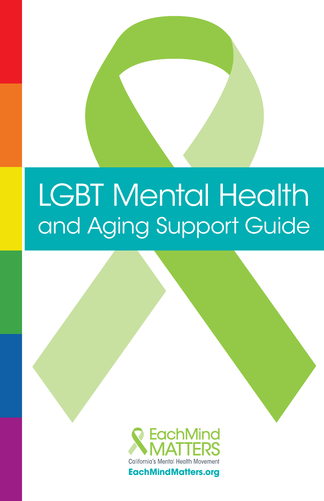# LGBT Mental Health and Aging Support Guide



EachMindMatters.org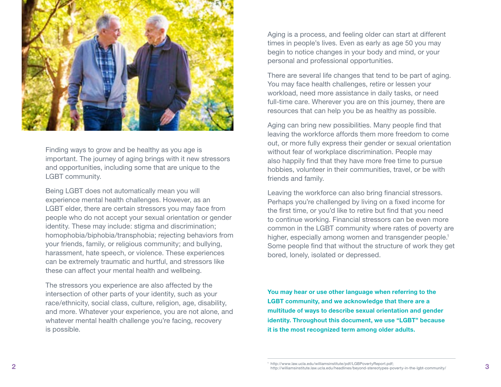

Finding ways to grow and be healthy as you age is important. The journey of aging brings with it new stressors and opportunities, including some that are unique to the LGBT community.

Being LGBT does not automatically mean you will experience mental health challenges. However, as an LGBT elder, there are certain stressors you may face from people who do not accept your sexual orientation or gender identity. These may include: stigma and discrimination; homophobia/biphobia/transphobia; rejecting behaviors from your friends, family, or religious community; and bullying, harassment, hate speech, or violence. These experiences can be extremely traumatic and hurtful, and stressors like these can affect your mental health and wellbeing.

The stressors you experience are also affected by the intersection of other parts of your identity, such as your race/ethnicity, social class, culture, religion, age, disability, and more. Whatever your experience, you are not alone, and whatever mental health challenge you're facing, recovery is possible.

Aging is a process, and feeling older can start at different times in people's lives. Even as early as age 50 you may begin to notice changes in your body and mind, or your personal and professional opportunities.

There are several life changes that tend to be part of aging. You may face health challenges, retire or lessen your workload, need more assistance in daily tasks, or need full-time care. Wherever you are on this journey, there are resources that can help you be as healthy as possible.

Aging can bring new possibilities. Many people find that leaving the workforce affords them more freedom to come out, or more fully express their gender or sexual orientation without fear of workplace discrimination. People may also happily find that they have more free time to pursue hobbies, volunteer in their communities, travel, or be with friends and family.

Leaving the workforce can also bring financial stressors. Perhaps you're challenged by living on a fixed income for the first time, or you'd like to retire but find that you need to continue working. Financial stressors can be even more common in the LGBT community where rates of poverty are higher, especially among women and transgender people.<sup>1</sup> Some people find that without the structure of work they get bored, lonely, isolated or depressed.

**You may hear or use other language when referring to the LGBT community, and we acknowledge that there are a multitude of ways to describe sexual orientation and gender identity. Throughout this document, we use "LGBT" because it is the most recognized term among older adults.**

**<sup>2</sup> 3** http://williamsinstitute.law.ucla.edu/headlines/beyond-stereotypes-poverty-in-the-lgbt-community/ <sup>1</sup> http://www.law.ucla.edu/williamsinstitute/pdf/LGBPovertyReport.pdf;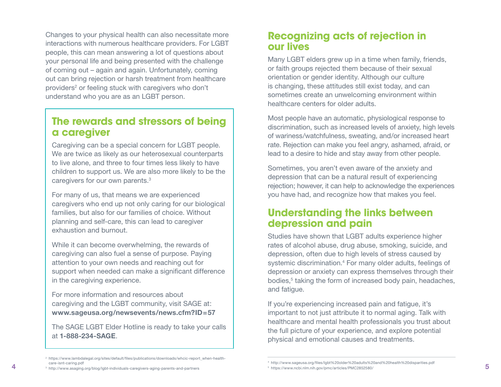Changes to your physical health can also necessitate more interactions with numerous healthcare providers. For LGBT people, this can mean answering a lot of questions about your personal life and being presented with the challenge of coming out – again and again. Unfortunately, coming out can bring rejection or harsh treatment from healthcare providers 2 or feeling stuck with caregivers who don't understand who you are as an LGBT person.

## The rewards and stressors of being a caregiver

Caregiving can be a special concern for LGBT people. We are twice as likely as our heterosexual counterparts to live alone, and three to four times less likely to have children to support us. We are also more likely to be the caregivers for our own parents. 3

For many of us, that means we are experienced caregivers who end up not only caring for our biological families, but also for our families of choice. Without planning and self-care, this can lead to caregiver exhaustion and burnout.

While it can become overwhelming, the rewards of caregiving can also fuel a sense of purpose. Paying attention to your own needs and reaching out for support when needed can make a significant difference in the caregiving experience.

For more information and resources about caregiving and the LGBT community, visit SAGE at: **[www.sageusa.org/newsevents/news.cfm?ID=57](http://www.sageusa.org/newsevents/news.cfm?ID=57)**

The SAGE LGBT Elder Hotline is ready to take your calls at **1-888-234-SAGE** .

## Recognizing acts of rejection in our lives

Many LGBT elders grew up in a time when family, friends, or faith groups rejected them because of their sexual orientation or gender identity. Although our culture is changing, these attitudes still exist today, and can sometimes create an unwelcoming environment within healthcare centers for older adults.

Most people have an automatic, physiological response to discrimination, such as increased levels of anxiety, high levels of wariness/watchfulness, sweating, and/or increased heart rate. Rejection can make you feel angry, ashamed, afraid, or lead to a desire to hide and stay away from other people.

Sometimes, you aren't even aware of the anxiety and depression that can be a natural result of experiencing rejection; however, it can help to acknowledge the experiences you have had, and recognize how that makes you feel.

## Understanding the links between depression and pain

Studies have shown that LGBT adults experience higher rates of alcohol abuse, drug abuse, smoking, suicide, and depression, often due to high levels of stress caused by systemic discrimination. 4 For many older adults, feelings of depression or anxiety can express themselves through their bodies, 5 taking the form of increased body pain, headaches, and fatigue.

If you're experiencing increased pain and fatigue, it's important to not just attribute it to normal aging. Talk with healthcare and mental health professionals you trust about the full picture of your experience, and explore potential physical and emotional causes and treatments.

<sup>2</sup> https://www.lambdalegal.org/sites/default/files/publications/downloads/whcic-report\_when-healthcare-isnt-caring.pdf

<sup>3</sup> http://www.asaging.org/blog/lgbt-individuals-caregivers-aging-parents-and-partners

<sup>4</sup> http://www.sageusa.org/files/lgbt%20older%20adults%20and%20health%20disparities.pdf

<sup>5</sup> https://www.ncbi.nlm.nih.gov/pmc/articles/PMC2852580/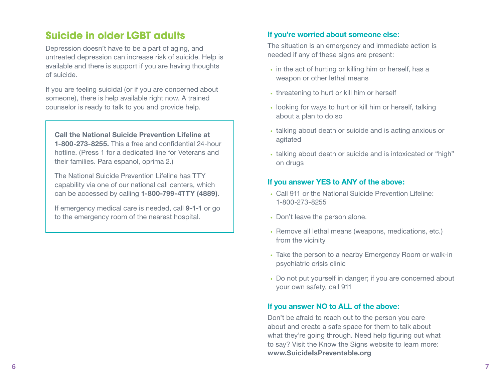# Suicide in older LGBT adults

Depression doesn't have to be a part of aging, and untreated depression can increase risk of suicide. Help is available and there is support if you are having thoughts of suicide.

If you are feeling suicidal (or if you are concerned about someone), there is help available right now. A trained counselor is ready to talk to you and provide help.

**Call the National Suicide Prevention Lifeline at 1-800-273-8255.** This a free and confidential 24-hour hotline. (Press 1 for a dedicated line for Veterans and their families. Para espanol, oprima 2.)

The National Suicide Prevention Lifeline has TTY capability via one of our national call centers, which can be accessed by calling **1-800-799-4TTY (4889)**.

If emergency medical care is needed, call **9-1-1** or go to the emergency room of the nearest hospital.

#### **If you're worried about someone else:**

The situation is an emergency and immediate action is needed if any of these signs are present:

- in the act of hurting or killing him or herself, has a weapon or other lethal means
- threatening to hurt or kill him or herself
- looking for ways to hurt or kill him or herself, talking about a plan to do so
- talking about death or suicide and is acting anxious or agitated
- talking about death or suicide and is intoxicated or "high" on drugs

#### **If you answer YES to ANY of the above:**

- Call 911 or the National Suicide Prevention Lifeline: 1-800-273-8255
- Don't leave the person alone.
- Remove all lethal means (weapons, medications, etc.) from the vicinity
- Take the person to a nearby Emergency Room or walk-in psychiatric crisis clinic
- Do not put yourself in danger; if you are concerned about your own safety, call 911

### **If you answer NO to ALL of the above:**

Don't be afraid to reach out to the person you care about and create a safe space for them to talk about what they're going through. Need help figuring out what to say? Visit the Know the Signs website to learn more: **www.SuicideIsPreventable.org**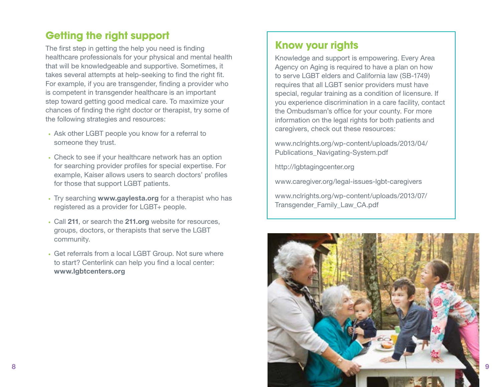# Getting the right support

The first step in getting the help you need is finding healthcare professionals for your physical and mental health that will be knowledgeable and supportive. Sometimes, it takes several attempts at help-seeking to find the right fit. For example, if you are transgender, finding a provider who is competent in transgender healthcare is an important step toward getting good medical care. To maximize your chances of finding the right doctor or therapist, try some of the following strategies and resources:

- Ask other LGBT people you know for a referral to someone they trust.
- Check to see if your healthcare network has an option for searching provider profiles for special expertise. For example, Kaiser allows users to search doctors' profiles for those that support LGBT patients.
- Try searching **www.gaylesta.org** for a therapist who has registered as a provider for LGBT+ people.
- Call **211**, or search the **211.org** website for resources, groups, doctors, or therapists that serve the LGBT community.
- Get referrals from a local LGBT Group. Not sure where to start? Centerlink can help you find a local center: **www.lgbtcenters.org**

## Know your rights

Knowledge and support is empowering. Every Area Agency on Aging is required to have a plan on how to serve LGBT elders and California law (SB-1749) requires that all LGBT senior providers must have special, regular training as a condition of licensure. If you experience discrimination in a care facility, contact the Ombudsman's office for your county. For more information on the legal rights for both patients and caregivers, check out these resources:

[www.nclrights.org/wp-content/uploads/2013/04/](http://www.nclrights.org/wp-content/uploads/2013/04/Publications_Navigating-System.pdf) [Publications\\_Navigating-System.pdf](http://www.nclrights.org/wp-content/uploads/2013/04/Publications_Navigating-System.pdf)

http://lgbtagingcenter.org

www.caregiver.org/legal-issues-lgbt-caregivers

[www.nclrights.org/wp-content/uploads/2013/07/](http://www.nclrights.org/wp-content/uploads/2013/07/Transgender_Family_Law_CA.pdf) Transgender Family Law CA.pdf

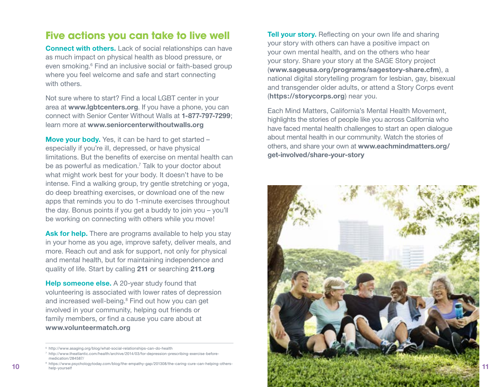## Five actions you can take to live well

**Connect with others.** Lack of social relationships can have as much impact on physical health as blood pressure, or even smoking.<sup>6</sup> Find an inclusive social or faith-based group where you feel welcome and safe and start connecting with others.

Not sure where to start? Find a local LGBT center in your area at **www.lgbtcenters.org**. If you have a phone, you can connect with Senior Center Without Walls at **1-877-797-7299**; learn more at **www.seniorcenterwithoutwalls.org**

**Move your body.** Yes, it can be hard to get started – especially if you're ill, depressed, or have physical limitations. But the benefits of exercise on mental health can be as powerful as medication.<sup>7</sup> Talk to your doctor about what might work best for your body. It doesn't have to be intense. Find a walking group, try gentle stretching or yoga, do deep breathing exercises, or download one of the new apps that reminds you to do 1-minute exercises throughout the day. Bonus points if you get a buddy to join you – you'll be working on connecting with others while you move!

Ask for help. There are programs available to help you stay in your home as you age, improve safety, deliver meals, and more. Reach out and ask for support, not only for physical and mental health, but for maintaining independence and quality of life. Start by calling **211** or searching **211.org**

**Help someone else.** A 20-year study found that volunteering is associated with lower rates of depression and increased well-being.<sup>8</sup> Find out how you can get involved in your community, helping out friends or family members, or find a cause you care about at **www.volunteermatch.org**

**Tell your story.** Reflecting on your own life and sharing your story with others can have a positive impact on your own mental health, and on the others who hear your story. Share your story at the SAGE Story project (**www.sageusa.org/programs/sagestory-share.cfm**), a national digital storytelling program for lesbian, gay, bisexual and transgender older adults, or attend a Story Corps event (**https://storycorps.org**) near you.

Each Mind Matters, California's Mental Health Movement, highlights the stories of people like you across California who have faced mental health challenges to start an open dialogue about mental health in our community. Watch the stories of others, and share your own at **[www.eachmindmatters.org/](http://www.eachmindmatters.org/get-involved/share-your-story/) [get-involved/share-your-story](http://www.eachmindmatters.org/get-involved/share-your-story/)**



<sup>6</sup> http://www.asaging.org/blog/what-social-relationships-can-do-health

<sup>7</sup> http://www.theatlantic.com/health/archive/2014/03/for-depression-prescribing-exercise-beforemedication/284587/

help-yourself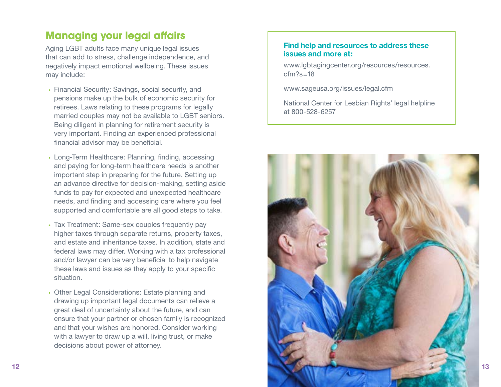# Managing your legal affairs

Aging LGBT adults face many unique legal issues that can add to stress, challenge independence, and negatively impact emotional wellbeing. These issues may include:

- Financial Security: Savings, social security, and pensions make up the bulk of economic security for retirees. Laws relating to these programs for legally married couples may not be available to LGBT seniors. Being diligent in planning for retirement security is very important. Finding an experienced professional financial advisor may be beneficial.
- Long-Term Healthcare: Planning, finding, accessing and paying for long-term healthcare needs is another important step in preparing for the future. Setting up an advance directive for decision-making, setting aside funds to pay for expected and unexpected healthcare needs, and finding and accessing care where you feel supported and comfortable are all good steps to take.
- Tax Treatment: Same-sex couples frequently pay higher taxes through separate returns, property taxes, and estate and inheritance taxes. In addition, state and federal laws may differ. Working with a tax professional and/or lawyer can be very beneficial to help navigate these laws and issues as they apply to your specific situation.
- Other Legal Considerations: Estate planning and drawing up important legal documents can relieve a great deal of uncertainty about the future, and can ensure that your partner or chosen family is recognized and that your wishes are honored. Consider working with a lawyer to draw up a will, living trust, or make decisions about power of attorney.

#### **Find help and resources to address these issues and more at:**

[www.lgbtagingcenter.org/resources/resources.](http://www.lgbtagingcenter.org/resources/resources.cfm?s=18)  $cfm?s=18$ 

www.sageusa.org/issues/legal.cfm

National Center for Lesbian Rights' legal helpline at 800-528-6257

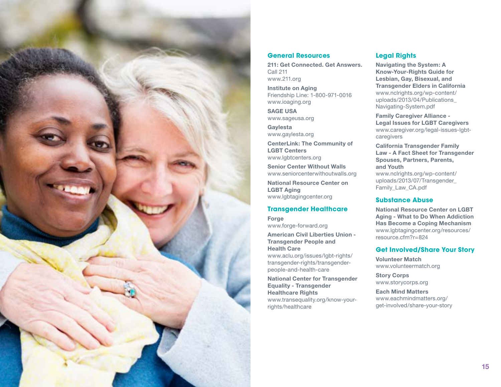

#### **General Resources**

**211: Get Connected. Get Answers.** Call 211 www.211.org

**Institute on Aging** Friendship Line: 1-800-971-0016 www.ioaging.org

**SAGE USA** www.sageusa.org

**Gaylesta** www.gaylesta.org

**CenterLink: The Community of LGBT Centers** www.lgbtcenters.org

**Senior Center Without Walls** www.seniorcenterwithoutwalls.org

**National Resource Center on LGBT Aging**  www.lgbtagingcenter.org

#### **Transgender Healthcare**

**Forge** www.forge-forward.org

**American Civil Liberties Union - Transgender People and Health Care** [www.aclu.org/issues/lgbt-rights/](https://www.aclu.org/issues/lgbt-rights/transgender-rights/transgender-people-and-health-care)

[transgender-rights/transgender](https://www.aclu.org/issues/lgbt-rights/transgender-rights/transgender-people-and-health-care)[people-and-health-care](https://www.aclu.org/issues/lgbt-rights/transgender-rights/transgender-people-and-health-care)

**National Center for Transgender Equality - Transgender Healthcare Rights** www.transequality.org/know-yourrights/healthcare

#### **Legal Rights**

**Navigating the System: A Know-Your-Rights Guide for Lesbian, Gay, Bisexual, and Transgender Elders in California** [www.nclrights.org/wp-content/](http://www.nclrights.org/wp-content/uploads/2013/04/Publications_Navigating-System.pdf) [uploads/2013/04/Publications\\_](http://www.nclrights.org/wp-content/uploads/2013/04/Publications_Navigating-System.pdf) [Navigating-System.pdf](http://www.nclrights.org/wp-content/uploads/2013/04/Publications_Navigating-System.pdf)

**Family Caregiver Alliance - Legal Issues for LGBT Caregivers** [www.caregiver.org/legal-issues-lgbt](https://www.caregiver.org/legal-issues-lgbt-caregivers)[caregivers](https://www.caregiver.org/legal-issues-lgbt-caregivers)

**California Transgender Family Law - A Fact Sheet for Transgender Spouses, Partners, Parents, and Youth**

[www.nclrights.org/wp-content/](http://www.nclrights.org/wp-content/uploads/2013/07/Transgender_Family_Law_CA.pdf) [uploads/2013/07/Transgender\\_](http://www.nclrights.org/wp-content/uploads/2013/07/Transgender_Family_Law_CA.pdf) [Family\\_Law\\_CA.pdf](http://www.nclrights.org/wp-content/uploads/2013/07/Transgender_Family_Law_CA.pdf)

#### **Substance Abuse**

**National Resource Center on LGBT Aging - What to Do When Addiction Has Become a Coping Mechanism** www.lgbtagingcenter.org/resources/ resource.cfm?r=824

#### **Get Involved/Share Your Story**

**Volunteer Match** www.volunteermatch.org

**Story Corps** www.storycorps.org

**Each Mind Matters** www.eachmindmatters.org/ get-involved/share-your-story